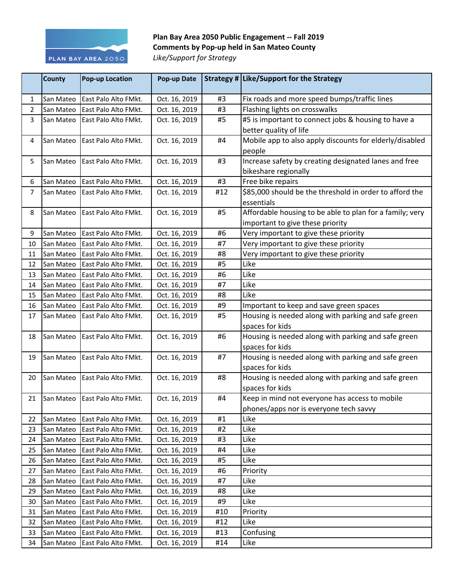

## Plan Bay Area 2050 Public Engagement -- Fall 2019 **Comments by Pop-up held in San Mateo County** Like/Support for Strategy

|                | <b>County</b> | <b>Pop-up Location</b> | Pop-up Date   |     | Strategy # Like/Support for the Strategy                 |
|----------------|---------------|------------------------|---------------|-----|----------------------------------------------------------|
| 1              | San Mateo     | East Palo Alto FMkt.   | Oct. 16, 2019 | #3  | Fix roads and more speed bumps/traffic lines             |
| $\overline{2}$ | San Mateo     | East Palo Alto FMkt.   | Oct. 16, 2019 | #3  | Flashing lights on crosswalks                            |
| 3              | San Mateo     | East Palo Alto FMkt.   | Oct. 16, 2019 | #5  | #5 is important to connect jobs & housing to have a      |
|                |               |                        |               |     | better quality of life                                   |
| 4              | San Mateo     | East Palo Alto FMkt.   | Oct. 16, 2019 | #4  | Mobile app to also apply discounts for elderly/disabled  |
|                |               |                        |               |     | people                                                   |
| 5              | San Mateo     | East Palo Alto FMkt.   | Oct. 16, 2019 | #3  | Increase safety by creating designated lanes and free    |
|                |               |                        |               |     | bikeshare regionally                                     |
| 6              | San Mateo     | East Palo Alto FMkt.   | Oct. 16, 2019 | #3  | Free bike repairs                                        |
| $\overline{7}$ | San Mateo     | East Palo Alto FMkt.   | Oct. 16, 2019 | #12 | \$85,000 should be the threshold in order to afford the  |
|                |               |                        |               |     | essentials                                               |
| 8              | San Mateo     | East Palo Alto FMkt.   | Oct. 16, 2019 | #5  | Affordable housing to be able to plan for a family; very |
|                |               |                        |               |     | important to give these priority                         |
| 9              | San Mateo     | East Palo Alto FMkt.   | Oct. 16, 2019 | #6  | Very important to give these priority                    |
| 10             | San Mateo     | East Palo Alto FMkt.   | Oct. 16, 2019 | #7  | Very important to give these priority                    |
| 11             | San Mateo     | East Palo Alto FMkt.   | Oct. 16, 2019 | #8  | Very important to give these priority                    |
| 12             | San Mateo     | East Palo Alto FMkt.   | Oct. 16, 2019 | #5  | Like                                                     |
| 13             | San Mateo     | East Palo Alto FMkt.   | Oct. 16, 2019 | #6  | Like                                                     |
| 14             | San Mateo     | East Palo Alto FMkt.   | Oct. 16, 2019 | #7  | Like                                                     |
| 15             | San Mateo     | East Palo Alto FMkt.   | Oct. 16, 2019 | #8  | Like                                                     |
| 16             | San Mateo     | East Palo Alto FMkt.   | Oct. 16, 2019 | #9  | Important to keep and save green spaces                  |
| 17             | San Mateo     | East Palo Alto FMkt.   | Oct. 16, 2019 | #5  | Housing is needed along with parking and safe green      |
|                |               |                        |               |     | spaces for kids                                          |
| 18             | San Mateo     | East Palo Alto FMkt.   | Oct. 16, 2019 | #6  | Housing is needed along with parking and safe green      |
|                |               |                        |               |     | spaces for kids                                          |
| 19             | San Mateo     | East Palo Alto FMkt.   | Oct. 16, 2019 | #7  | Housing is needed along with parking and safe green      |
|                |               |                        |               |     | spaces for kids                                          |
| 20             | San Mateo     | East Palo Alto FMkt.   | Oct. 16, 2019 | #8  | Housing is needed along with parking and safe green      |
|                |               |                        |               |     | spaces for kids                                          |
| 21             | San Mateo     | East Palo Alto FMkt.   | Oct. 16, 2019 | #4  | Keep in mind not everyone has access to mobile           |
|                |               |                        |               |     | phones/apps nor is everyone tech savvy                   |
| 22             | San Mateo     | East Palo Alto FMkt.   | Oct. 16, 2019 | #1  | Like                                                     |
| 23             | San Mateo     | East Palo Alto FMkt.   | Oct. 16, 2019 | #2  | Like                                                     |
| 24             | San Mateo     | East Palo Alto FMkt.   | Oct. 16, 2019 | #3  | Like                                                     |
| 25             | San Mateo     | East Palo Alto FMkt.   | Oct. 16, 2019 | #4  | Like                                                     |
| 26             | San Mateo     | East Palo Alto FMkt.   | Oct. 16, 2019 | #5  | Like                                                     |
| 27             | San Mateo     | East Palo Alto FMkt.   | Oct. 16, 2019 | #6  | Priority                                                 |
| 28             | San Mateo     | East Palo Alto FMkt.   | Oct. 16, 2019 | #7  | Like                                                     |
| 29             | San Mateo     | East Palo Alto FMkt.   | Oct. 16, 2019 | #8  | Like                                                     |
| 30             | San Mateo     | East Palo Alto FMkt.   | Oct. 16, 2019 | #9  | Like                                                     |
| 31             | San Mateo     | East Palo Alto FMkt.   | Oct. 16, 2019 | #10 | Priority                                                 |
| 32             | San Mateo     | East Palo Alto FMkt.   | Oct. 16, 2019 | #12 | Like                                                     |
| 33             | San Mateo     | East Palo Alto FMkt.   | Oct. 16, 2019 | #13 | Confusing                                                |
| 34             | San Mateo     | East Palo Alto FMkt.   | Oct. 16, 2019 | #14 | Like                                                     |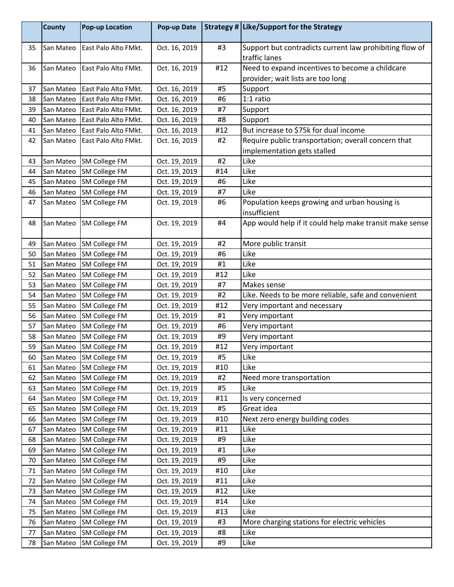|    | <b>County</b> | <b>Pop-up Location</b> | Pop-up Date   |     | Strategy # Like/Support for the Strategy                                             |
|----|---------------|------------------------|---------------|-----|--------------------------------------------------------------------------------------|
| 35 | San Mateo     | East Palo Alto FMkt.   | Oct. 16, 2019 | #3  | Support but contradicts current law prohibiting flow of<br>traffic lanes             |
| 36 | San Mateo     | East Palo Alto FMkt.   | Oct. 16, 2019 | #12 | Need to expand incentives to become a childcare<br>provider; wait lists are too long |
| 37 | San Mateo     | East Palo Alto FMkt.   | Oct. 16, 2019 | #5  | Support                                                                              |
| 38 | San Mateo     | East Palo Alto FMkt.   | Oct. 16, 2019 | #6  | 1:1 ratio                                                                            |
| 39 | San Mateo     | East Palo Alto FMkt.   | Oct. 16, 2019 | #7  | Support                                                                              |
| 40 | San Mateo     | East Palo Alto FMkt.   | Oct. 16, 2019 | #8  | Support                                                                              |
| 41 | San Mateo     | East Palo Alto FMkt.   | Oct. 16, 2019 | #12 | But increase to \$75k for dual income                                                |
| 42 | San Mateo     | East Palo Alto FMkt.   | Oct. 16, 2019 | #2  | Require public transportation; overall concern that<br>implementation gets stalled   |
| 43 | San Mateo     | <b>SM College FM</b>   | Oct. 19, 2019 | #2  | Like                                                                                 |
| 44 | San Mateo     | SM College FM          | Oct. 19, 2019 | #14 | Like                                                                                 |
| 45 | San Mateo     | <b>SM College FM</b>   | Oct. 19, 2019 | #6  | Like                                                                                 |
| 46 | San Mateo     | <b>SM College FM</b>   | Oct. 19, 2019 | #7  | Like                                                                                 |
| 47 | San Mateo     | SM College FM          | Oct. 19, 2019 | #6  | Population keeps growing and urban housing is<br>insufficient                        |
| 48 | San Mateo     | SM College FM          | Oct. 19, 2019 | #4  | App would help if it could help make transit make sense                              |
| 49 | San Mateo     | <b>SM College FM</b>   | Oct. 19, 2019 | #2  | More public transit                                                                  |
| 50 | San Mateo     | <b>SM College FM</b>   | Oct. 19, 2019 | #6  | Like                                                                                 |
| 51 | San Mateo     | SM College FM          | Oct. 19, 2019 | #1  | Like                                                                                 |
| 52 | San Mateo     | <b>SM College FM</b>   | Oct. 19, 2019 | #12 | Like                                                                                 |
| 53 | San Mateo     | <b>SM College FM</b>   | Oct. 19, 2019 | #7  | Makes sense                                                                          |
| 54 | San Mateo     | <b>SM College FM</b>   | Oct. 19, 2019 | #2  | Like. Needs to be more reliable, safe and convenient                                 |
| 55 | San Mateo     | <b>SM College FM</b>   | Oct. 19, 2019 | #12 | Very important and necessary                                                         |
| 56 | San Mateo     | <b>SM College FM</b>   | Oct. 19, 2019 | #1  | Very important                                                                       |
| 57 | San Mateo     | <b>SM College FM</b>   | Oct. 19, 2019 | #6  | Very important                                                                       |
| 58 | San Mateo     | <b>SM College FM</b>   | Oct. 19, 2019 | #9  | Very important                                                                       |
| 59 | San Mateo     | <b>SM College FM</b>   | Oct. 19, 2019 | #12 | Very important                                                                       |
| 60 | San Mateo     | <b>SM College FM</b>   | Oct. 19, 2019 | #5  | Like                                                                                 |
| 61 | San Mateo     | <b>SM College FM</b>   | Oct. 19, 2019 | #10 | Like                                                                                 |
| 62 | San Mateo     | <b>SM College FM</b>   | Oct. 19, 2019 | #2  | Need more transportation                                                             |
| 63 | San Mateo     | <b>SM College FM</b>   | Oct. 19, 2019 | #5  | Like                                                                                 |
| 64 | San Mateo     | <b>SM College FM</b>   | Oct. 19, 2019 | #11 | Is very concerned                                                                    |
| 65 | San Mateo     | <b>SM College FM</b>   | Oct. 19, 2019 | #5  | Great idea                                                                           |
| 66 | San Mateo     | <b>SM College FM</b>   | Oct. 19, 2019 | #10 | Next zero energy building codes                                                      |
| 67 | San Mateo     | SM College FM          | Oct. 19, 2019 | #11 | Like                                                                                 |
| 68 | San Mateo     | SM College FM          | Oct. 19, 2019 | #9  | Like                                                                                 |
| 69 | San Mateo     | <b>SM College FM</b>   | Oct. 19, 2019 | #1  | Like                                                                                 |
| 70 | San Mateo     | <b>SM College FM</b>   | Oct. 19, 2019 | #9  | Like                                                                                 |
| 71 | San Mateo     | <b>SM College FM</b>   | Oct. 19, 2019 | #10 | Like                                                                                 |
| 72 | San Mateo     | <b>SM College FM</b>   | Oct. 19, 2019 | #11 | Like                                                                                 |
| 73 | San Mateo     | <b>SM College FM</b>   | Oct. 19, 2019 | #12 | Like                                                                                 |
| 74 | San Mateo     | <b>SM College FM</b>   | Oct. 19, 2019 | #14 | Like                                                                                 |
| 75 | San Mateo     | <b>SM College FM</b>   | Oct. 19, 2019 | #13 | Like                                                                                 |
| 76 | San Mateo     | <b>SM College FM</b>   | Oct. 19, 2019 | #3  | More charging stations for electric vehicles                                         |
| 77 | San Mateo     | <b>SM College FM</b>   | Oct. 19, 2019 | #8  | Like                                                                                 |
| 78 | San Mateo     | <b>SM College FM</b>   | Oct. 19, 2019 | #9  | Like                                                                                 |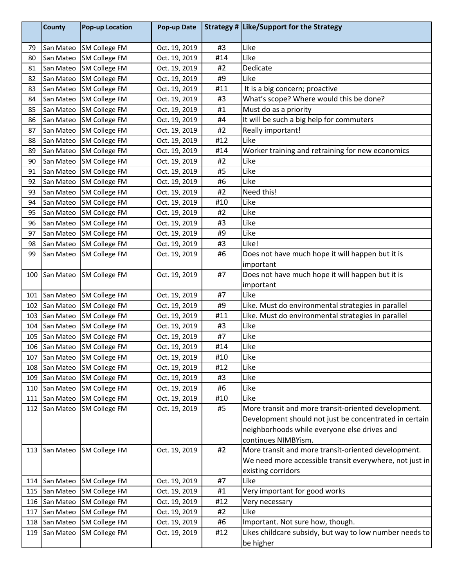|     | <b>County</b> | <b>Pop-up Location</b> | Pop-up Date   |     | Strategy # Like/Support for the Strategy                                   |
|-----|---------------|------------------------|---------------|-----|----------------------------------------------------------------------------|
| 79  | San Mateo     | SM College FM          | Oct. 19, 2019 | #3  | Like                                                                       |
| 80  | San Mateo     | SM College FM          | Oct. 19, 2019 | #14 | Like                                                                       |
| 81  | San Mateo     | <b>SM College FM</b>   | Oct. 19, 2019 | #2  | Dedicate                                                                   |
| 82  | San Mateo     | SM College FM          | Oct. 19, 2019 | #9  | Like                                                                       |
| 83  | San Mateo     | <b>SM College FM</b>   | Oct. 19, 2019 | #11 | It is a big concern; proactive                                             |
| 84  | San Mateo     | SM College FM          | Oct. 19, 2019 | #3  | What's scope? Where would this be done?                                    |
| 85  | San Mateo     | SM College FM          | Oct. 19, 2019 | #1  | Must do as a priority                                                      |
| 86  | San Mateo     | <b>SM College FM</b>   | Oct. 19, 2019 | #4  | It will be such a big help for commuters                                   |
| 87  | San Mateo     | SM College FM          | Oct. 19, 2019 | #2  | Really important!                                                          |
| 88  | San Mateo     | <b>SM College FM</b>   | Oct. 19, 2019 | #12 | Like                                                                       |
| 89  | San Mateo     | <b>SM College FM</b>   | Oct. 19, 2019 | #14 | Worker training and retraining for new economics                           |
| 90  | San Mateo     | SM College FM          | Oct. 19, 2019 | #2  | Like                                                                       |
| 91  | San Mateo     | SM College FM          | Oct. 19, 2019 | #5  | Like                                                                       |
| 92  | San Mateo     | SM College FM          | Oct. 19, 2019 | #6  | Like                                                                       |
| 93  | San Mateo     | SM College FM          | Oct. 19, 2019 | #2  | Need this!                                                                 |
| 94  | San Mateo     | <b>SM College FM</b>   | Oct. 19, 2019 | #10 | Like                                                                       |
| 95  | San Mateo     | <b>SM College FM</b>   | Oct. 19, 2019 | #2  | Like                                                                       |
| 96  | San Mateo     | SM College FM          | Oct. 19, 2019 | #3  | Like                                                                       |
| 97  | San Mateo     | <b>SM College FM</b>   | Oct. 19, 2019 | #9  | Like                                                                       |
| 98  | San Mateo     | SM College FM          | Oct. 19, 2019 | #3  | Like!                                                                      |
| 99  | San Mateo     | <b>SM College FM</b>   | Oct. 19, 2019 | #6  | Does not have much hope it will happen but it is                           |
|     |               |                        |               |     | important                                                                  |
| 100 | San Mateo     | <b>SM College FM</b>   | Oct. 19, 2019 | #7  | Does not have much hope it will happen but it is                           |
|     |               |                        |               |     | important                                                                  |
| 101 | San Mateo     | SM College FM          | Oct. 19, 2019 | #7  | Like                                                                       |
| 102 | San Mateo     | SM College FM          | Oct. 19, 2019 | #9  | Like. Must do environmental strategies in parallel                         |
| 103 | San Mateo     | <b>SM College FM</b>   | Oct. 19, 2019 | #11 | Like. Must do environmental strategies in parallel                         |
| 104 | San Mateo     | SM College FM          | Oct. 19, 2019 | #3  | Like                                                                       |
| 105 | San Mateo     | SM College FM          | Oct. 19, 2019 | #7  | Like                                                                       |
| 106 | San Mateo     | <b>SM College FM</b>   | Oct. 19, 2019 | #14 | Like                                                                       |
| 107 | San Mateo     | <b>SM College FM</b>   | Oct. 19, 2019 | #10 | Like                                                                       |
| 108 | San Mateo     | SM College FM          | Oct. 19, 2019 | #12 | Like                                                                       |
| 109 | San Mateo     | SM College FM          | Oct. 19, 2019 | #3  | Like                                                                       |
| 110 | San Mateo     | <b>SM College FM</b>   | Oct. 19, 2019 | #6  | Like                                                                       |
| 111 | San Mateo     | <b>SM College FM</b>   | Oct. 19, 2019 | #10 | Like                                                                       |
| 112 | San Mateo     | <b>SM College FM</b>   | Oct. 19, 2019 | #5  | More transit and more transit-oriented development.                        |
|     |               |                        |               |     | Development should not just be concentrated in certain                     |
|     |               |                        |               |     |                                                                            |
|     |               |                        |               |     | neighborhoods while everyone else drives and                               |
| 113 | San Mateo     | <b>SM College FM</b>   | Oct. 19, 2019 | #2  | continues NIMBYism.<br>More transit and more transit-oriented development. |
|     |               |                        |               |     |                                                                            |
|     |               |                        |               |     | We need more accessible transit everywhere, not just in                    |
|     |               |                        |               |     | existing corridors                                                         |
| 114 | San Mateo     | SM College FM          | Oct. 19, 2019 | #7  | Like                                                                       |
| 115 | San Mateo     | <b>SM College FM</b>   | Oct. 19, 2019 | #1  | Very important for good works                                              |
| 116 | San Mateo     | SM College FM          | Oct. 19, 2019 | #12 | Very necessary                                                             |
| 117 | San Mateo     | SM College FM          | Oct. 19, 2019 | #2  | Like                                                                       |
| 118 | San Mateo     | <b>SM College FM</b>   | Oct. 19, 2019 | #6  | Important. Not sure how, though.                                           |
| 119 | San Mateo     | <b>SM College FM</b>   | Oct. 19, 2019 | #12 | Likes childcare subsidy, but way to low number needs to                    |
|     |               |                        |               |     | be higher                                                                  |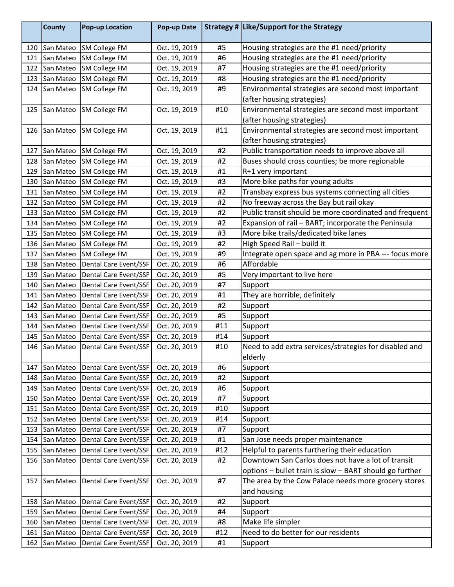|     | <b>County</b> | <b>Pop-up Location</b> | Pop-up Date   |     | Strategy # Like/Support for the Strategy                |
|-----|---------------|------------------------|---------------|-----|---------------------------------------------------------|
| 120 | San Mateo     | <b>SM College FM</b>   | Oct. 19, 2019 | #5  | Housing strategies are the #1 need/priority             |
| 121 | San Mateo     | <b>SM College FM</b>   | Oct. 19, 2019 | #6  | Housing strategies are the #1 need/priority             |
| 122 | San Mateo     | SM College FM          | Oct. 19, 2019 | #7  | Housing strategies are the #1 need/priority             |
| 123 | San Mateo     | SM College FM          | Oct. 19, 2019 | #8  | Housing strategies are the #1 need/priority             |
| 124 | San Mateo     | <b>SM College FM</b>   | Oct. 19, 2019 | #9  | Environmental strategies are second most important      |
|     |               |                        |               |     | (after housing strategies)                              |
| 125 | San Mateo     | <b>SM College FM</b>   | Oct. 19, 2019 | #10 | Environmental strategies are second most important      |
|     |               |                        |               |     | (after housing strategies)                              |
| 126 | San Mateo     | <b>SM College FM</b>   | Oct. 19, 2019 | #11 | Environmental strategies are second most important      |
|     |               |                        |               |     | (after housing strategies)                              |
| 127 | San Mateo     | <b>SM College FM</b>   | Oct. 19, 2019 | #2  | Public transportation needs to improve above all        |
| 128 | San Mateo     | SM College FM          | Oct. 19, 2019 | #2  | Buses should cross counties; be more regionable         |
| 129 | San Mateo     | SM College FM          | Oct. 19, 2019 | #1  | R+1 very important                                      |
| 130 | San Mateo     | <b>SM College FM</b>   | Oct. 19, 2019 | #3  | More bike paths for young adults                        |
| 131 | San Mateo     | <b>SM College FM</b>   | Oct. 19, 2019 | #2  | Transbay express bus systems connecting all cities      |
| 132 | San Mateo     | SM College FM          | Oct. 19, 2019 | #2  | No freeway across the Bay but rail okay                 |
| 133 | San Mateo     | SM College FM          | Oct. 19, 2019 | #2  | Public transit should be more coordinated and frequent  |
| 134 | San Mateo     | SM College FM          | Oct. 19, 2019 | #2  | Expansion of rail - BART; incorporate the Peninsula     |
| 135 | San Mateo     | SM College FM          | Oct. 19, 2019 | #3  | More bike trails/dedicated bike lanes                   |
| 136 | San Mateo     | <b>SM College FM</b>   | Oct. 19, 2019 | #2  | High Speed Rail - build it                              |
| 137 | San Mateo     | <b>SM College FM</b>   | Oct. 19, 2019 | #9  | Integrate open space and ag more in PBA --- focus more  |
| 138 | San Mateo     | Dental Care Event/SSF  | Oct. 20, 2019 | #6  | Affordable                                              |
| 139 | San Mateo     | Dental Care Event/SSF  | Oct. 20, 2019 | #5  | Very important to live here                             |
| 140 | San Mateo     | Dental Care Event/SSF  | Oct. 20, 2019 | #7  | Support                                                 |
| 141 | San Mateo     | Dental Care Event/SSF  | Oct. 20, 2019 | #1  | They are horrible, definitely                           |
| 142 | San Mateo     | Dental Care Event/SSF  | Oct. 20, 2019 | #2  | Support                                                 |
| 143 | San Mateo     | Dental Care Event/SSF  | Oct. 20, 2019 | #5  | Support                                                 |
| 144 | San Mateo     | Dental Care Event/SSF  | Oct. 20, 2019 | #11 | Support                                                 |
| 145 | San Mateo     | Dental Care Event/SSF  | Oct. 20, 2019 | #14 | Support                                                 |
| 146 | San Mateo     | Dental Care Event/SSF  | Oct. 20, 2019 | #10 | Need to add extra services/strategies for disabled and  |
|     |               |                        |               |     | elderly                                                 |
| 147 | San Mateo     | Dental Care Event/SSF  | Oct. 20, 2019 | #6  | Support                                                 |
| 148 | San Mateo     | Dental Care Event/SSF  | Oct. 20, 2019 | #2  | Support                                                 |
| 149 | San Mateo     | Dental Care Event/SSF  | Oct. 20, 2019 | #6  | Support                                                 |
| 150 | San Mateo     | Dental Care Event/SSF  | Oct. 20, 2019 | #7  | Support                                                 |
| 151 | San Mateo     | Dental Care Event/SSF  | Oct. 20, 2019 | #10 | Support                                                 |
| 152 | San Mateo     | Dental Care Event/SSF  | Oct. 20, 2019 | #14 | Support                                                 |
| 153 | San Mateo     | Dental Care Event/SSF  | Oct. 20, 2019 | #7  | Support                                                 |
| 154 | San Mateo     | Dental Care Event/SSF  | Oct. 20, 2019 | #1  | San Jose needs proper maintenance                       |
| 155 | San Mateo     | Dental Care Event/SSF  | Oct. 20, 2019 | #12 | Helpful to parents furthering their education           |
| 156 | San Mateo     | Dental Care Event/SSF  | Oct. 20, 2019 | #2  | Downtown San Carlos does not have a lot of transit      |
|     |               |                        |               |     | options - bullet train is slow - BART should go further |
| 157 | San Mateo     | Dental Care Event/SSF  | Oct. 20, 2019 | #7  | The area by the Cow Palace needs more grocery stores    |
|     |               |                        |               |     | and housing                                             |
| 158 | San Mateo     | Dental Care Event/SSF  | Oct. 20, 2019 | #2  | Support                                                 |
| 159 | San Mateo     | Dental Care Event/SSF  | Oct. 20, 2019 | #4  | Support                                                 |
| 160 | San Mateo     | Dental Care Event/SSF  | Oct. 20, 2019 | #8  | Make life simpler                                       |
| 161 | San Mateo     | Dental Care Event/SSF  | Oct. 20, 2019 | #12 | Need to do better for our residents                     |
| 162 | San Mateo     | Dental Care Event/SSF  | Oct. 20, 2019 | #1  | Support                                                 |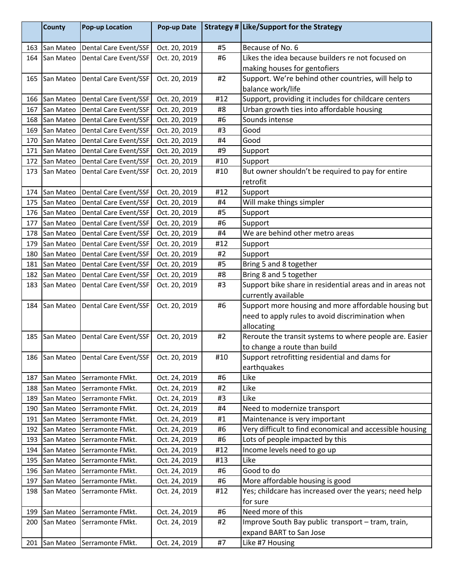|            | <b>County</b>          | <b>Pop-up Location</b>                  | Pop-up Date                    |          | Strategy # Like/Support for the Strategy                                                  |
|------------|------------------------|-----------------------------------------|--------------------------------|----------|-------------------------------------------------------------------------------------------|
| 163        | San Mateo              | Dental Care Event/SSF                   | Oct. 20, 2019                  | #5       | Because of No. 6                                                                          |
| 164        | San Mateo              | <b>Dental Care Event/SSF</b>            | Oct. 20, 2019                  | #6       | Likes the idea because builders re not focused on                                         |
|            |                        |                                         |                                |          | making houses for gentofiers                                                              |
| 165        | San Mateo              | Dental Care Event/SSF                   | Oct. 20, 2019                  | #2       | Support. We're behind other countries, will help to                                       |
|            |                        |                                         |                                |          | balance work/life                                                                         |
| 166        | San Mateo              | Dental Care Event/SSF                   | Oct. 20, 2019                  | #12      | Support, providing it includes for childcare centers                                      |
| 167        | San Mateo              | Dental Care Event/SSF                   | Oct. 20, 2019                  | #8       | Urban growth ties into affordable housing                                                 |
| 168        | San Mateo              | Dental Care Event/SSF                   | Oct. 20, 2019                  | #6       | Sounds intense                                                                            |
| 169        | San Mateo              | Dental Care Event/SSF                   | Oct. 20, 2019                  | #3       | Good                                                                                      |
| 170        | San Mateo              | Dental Care Event/SSF                   | Oct. 20, 2019                  | #4       | Good                                                                                      |
| 171        | San Mateo              | Dental Care Event/SSF                   | Oct. 20, 2019                  | #9       | Support                                                                                   |
| 172        | San Mateo              | Dental Care Event/SSF                   | Oct. 20, 2019                  | #10      | Support                                                                                   |
| 173        | San Mateo              | Dental Care Event/SSF                   | Oct. 20, 2019                  | #10      | But owner shouldn't be required to pay for entire                                         |
|            |                        |                                         |                                |          | retrofit                                                                                  |
| 174        | San Mateo              | Dental Care Event/SSF                   | Oct. 20, 2019                  | #12      | Support                                                                                   |
| 175        | San Mateo              | Dental Care Event/SSF                   | Oct. 20, 2019                  | #4       | Will make things simpler                                                                  |
| 176        | San Mateo              | Dental Care Event/SSF                   | Oct. 20, 2019                  | #5       | Support                                                                                   |
| 177        | San Mateo              | Dental Care Event/SSF                   | Oct. 20, 2019                  | #6       | Support                                                                                   |
| 178        | San Mateo              | Dental Care Event/SSF                   | Oct. 20, 2019                  | #4       | We are behind other metro areas                                                           |
| 179        | San Mateo              | Dental Care Event/SSF                   | Oct. 20, 2019                  | #12      | Support                                                                                   |
| 180        | San Mateo              | Dental Care Event/SSF                   | Oct. 20, 2019                  | #2       | Support                                                                                   |
| 181        | San Mateo              | Dental Care Event/SSF                   | Oct. 20, 2019                  | #5       | Bring 5 and 8 together                                                                    |
| 182        | San Mateo              | Dental Care Event/SSF                   | Oct. 20, 2019                  | #8       | Bring 8 and 5 together                                                                    |
| 183        | San Mateo              | Dental Care Event/SSF                   | Oct. 20, 2019                  | #3       | Support bike share in residential areas and in areas not                                  |
|            |                        |                                         |                                |          | currently available                                                                       |
| 184        | San Mateo              | Dental Care Event/SSF                   | Oct. 20, 2019                  | #6       | Support more housing and more affordable housing but                                      |
|            |                        |                                         |                                |          | need to apply rules to avoid discrimination when                                          |
|            |                        |                                         |                                |          | allocating                                                                                |
| 185        | San Mateo              | Dental Care Event/SSF                   | Oct. 20, 2019                  | #2       | Reroute the transit systems to where people are. Easier                                   |
|            |                        |                                         |                                |          | to change a route than build                                                              |
|            |                        | 186   San Mateo   Dental Care Event/SSF | Oct. 20, 2019                  | #10      | Support retrofitting residential and dams for                                             |
|            |                        |                                         |                                |          | earthquakes                                                                               |
| 187        | San Mateo              | Serramonte FMkt.                        | Oct. 24, 2019                  | #6       | Like                                                                                      |
| 188        | San Mateo              | Serramonte FMkt.                        | Oct. 24, 2019                  | #2       | Like                                                                                      |
| 189        | San Mateo              | Serramonte FMkt.                        | Oct. 24, 2019                  | #3       | Like                                                                                      |
| 190        | San Mateo              | Serramonte FMkt.<br>Serramonte FMkt.    | Oct. 24, 2019                  | #4       | Need to modernize transport                                                               |
| 191        | San Mateo              |                                         | Oct. 24, 2019                  | #1<br>#6 | Maintenance is very important<br>Very difficult to find economical and accessible housing |
| 192<br>193 | San Mateo              | Serramonte FMkt.                        | Oct. 24, 2019                  | #6       | Lots of people impacted by this                                                           |
|            | San Mateo<br>San Mateo | Serramonte FMkt.                        | Oct. 24, 2019<br>Oct. 24, 2019 | #12      | Income levels need to go up                                                               |
| 194<br>195 | San Mateo              | Serramonte FMkt.<br>Serramonte FMkt.    | Oct. 24, 2019                  | #13      | Like                                                                                      |
| 196        | San Mateo              | Serramonte FMkt.                        | Oct. 24, 2019                  | #6       | Good to do                                                                                |
| 197        | San Mateo              | Serramonte FMkt.                        | Oct. 24, 2019                  | #6       | More affordable housing is good                                                           |
| 198        | San Mateo              |                                         | Oct. 24, 2019                  | #12      | Yes; childcare has increased over the years; need help                                    |
|            |                        | Serramonte FMkt.                        |                                |          | for sure                                                                                  |
| 199        | San Mateo              | Serramonte FMkt.                        | Oct. 24, 2019                  | #6       | Need more of this                                                                         |
| 200        | San Mateo              | Serramonte FMkt.                        | Oct. 24, 2019                  | #2       | Improve South Bay public transport - tram, train,                                         |
|            |                        |                                         |                                |          | expand BART to San Jose                                                                   |
| 201        | San Mateo              | Serramonte FMkt.                        | Oct. 24, 2019                  | #7       | Like #7 Housing                                                                           |
|            |                        |                                         |                                |          |                                                                                           |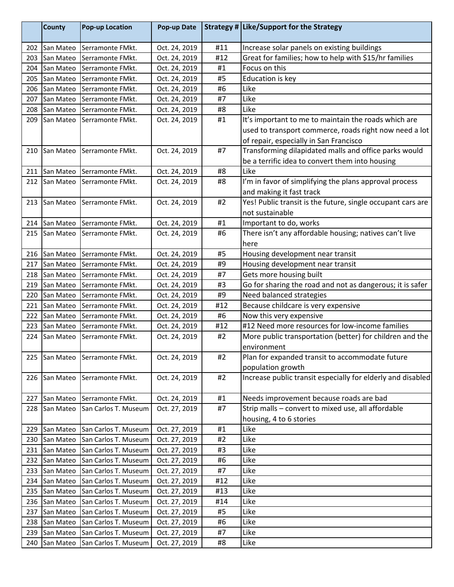|     | <b>County</b> | <b>Pop-up Location</b> | Pop-up Date   |     | Strategy # Like/Support for the Strategy                    |
|-----|---------------|------------------------|---------------|-----|-------------------------------------------------------------|
| 202 | San Mateo     | Serramonte FMkt.       | Oct. 24, 2019 | #11 | Increase solar panels on existing buildings                 |
| 203 | San Mateo     | Serramonte FMkt.       | Oct. 24, 2019 | #12 | Great for families; how to help with \$15/hr families       |
| 204 | San Mateo     | Serramonte FMkt.       | Oct. 24, 2019 | #1  | Focus on this                                               |
| 205 | San Mateo     | Serramonte FMkt.       | Oct. 24, 2019 | #5  | Education is key                                            |
| 206 | San Mateo     | Serramonte FMkt.       | Oct. 24, 2019 | #6  | Like                                                        |
| 207 | San Mateo     | Serramonte FMkt.       | Oct. 24, 2019 | #7  | Like                                                        |
| 208 | San Mateo     | Serramonte FMkt.       | Oct. 24, 2019 | #8  | Like                                                        |
| 209 | San Mateo     | Serramonte FMkt.       | Oct. 24, 2019 | #1  | It's important to me to maintain the roads which are        |
|     |               |                        |               |     | used to transport commerce, roads right now need a lot      |
|     |               |                        |               |     | of repair, especially in San Francisco                      |
| 210 | San Mateo     | Serramonte FMkt.       | Oct. 24, 2019 | #7  | Transforming dilapidated malls and office parks would       |
|     |               |                        |               |     | be a terrific idea to convert them into housing             |
| 211 | San Mateo     | lSerramonte FMkt.      | Oct. 24, 2019 | #8  | Like                                                        |
| 212 | San Mateo     | Serramonte FMkt.       | Oct. 24, 2019 | #8  | I'm in favor of simplifying the plans approval process      |
|     |               |                        |               |     | and making it fast track                                    |
| 213 | San Mateo     | Serramonte FMkt.       | Oct. 24, 2019 | #2  | Yes! Public transit is the future, single occupant cars are |
|     |               |                        |               |     | not sustainable                                             |
| 214 | San Mateo     | Serramonte FMkt.       | Oct. 24, 2019 | #1  | Important to do, works                                      |
| 215 | San Mateo     | Serramonte FMkt.       | Oct. 24, 2019 | #6  | There isn't any affordable housing; natives can't live      |
|     |               |                        |               |     | here                                                        |
| 216 | San Mateo     | Serramonte FMkt.       | Oct. 24, 2019 | #5  | Housing development near transit                            |
| 217 | San Mateo     | Serramonte FMkt.       | Oct. 24, 2019 | #9  | Housing development near transit                            |
| 218 | San Mateo     | Serramonte FMkt.       | Oct. 24, 2019 | #7  | Gets more housing built                                     |
| 219 | San Mateo     | Serramonte FMkt.       | Oct. 24, 2019 | #3  | Go for sharing the road and not as dangerous; it is safer   |
| 220 | San Mateo     | Serramonte FMkt.       | Oct. 24, 2019 | #9  | Need balanced strategies                                    |
| 221 | San Mateo     | Serramonte FMkt.       | Oct. 24, 2019 | #12 | Because childcare is very expensive                         |
| 222 | San Mateo     | Serramonte FMkt.       | Oct. 24, 2019 | #6  | Now this very expensive                                     |
| 223 | San Mateo     | Serramonte FMkt.       | Oct. 24, 2019 | #12 | #12 Need more resources for low-income families             |
| 224 | San Mateo     | lSerramonte FMkt.      | Oct. 24, 2019 | #2  | More public transportation (better) for children and the    |
|     |               |                        |               |     | environment                                                 |
|     | 225 San Mateo | Serramonte FMkt.       | Oct. 24, 2019 | #2  | Plan for expanded transit to accommodate future             |
|     |               |                        |               |     | population growth                                           |
| 226 | San Mateo     | Serramonte FMkt.       | Oct. 24, 2019 | #2  | Increase public transit especially for elderly and disabled |
|     |               |                        |               |     |                                                             |
| 227 | San Mateo     | Serramonte FMkt.       | Oct. 24, 2019 | #1  | Needs improvement because roads are bad                     |
| 228 | San Mateo     | San Carlos T. Museum   | Oct. 27, 2019 | #7  | Strip malls - convert to mixed use, all affordable          |
|     |               |                        |               |     | housing, 4 to 6 stories                                     |
| 229 | San Mateo     | San Carlos T. Museum   | Oct. 27, 2019 | #1  | Like                                                        |
| 230 | San Mateo     | San Carlos T. Museum   | Oct. 27, 2019 | #2  | Like                                                        |
| 231 | San Mateo     | San Carlos T. Museum   | Oct. 27, 2019 | #3  | Like                                                        |
| 232 | San Mateo     | San Carlos T. Museum   | Oct. 27, 2019 | #6  | Like                                                        |
| 233 | San Mateo     | San Carlos T. Museum   | Oct. 27, 2019 | #7  | Like                                                        |
| 234 | San Mateo     | San Carlos T. Museum   | Oct. 27, 2019 | #12 | Like                                                        |
| 235 | San Mateo     | San Carlos T. Museum   | Oct. 27, 2019 | #13 | Like                                                        |
| 236 | San Mateo     | San Carlos T. Museum   | Oct. 27, 2019 | #14 | Like                                                        |
| 237 | San Mateo     | San Carlos T. Museum   | Oct. 27, 2019 | #5  | Like                                                        |
| 238 | San Mateo     | San Carlos T. Museum   | Oct. 27, 2019 | #6  | Like                                                        |
| 239 | San Mateo     | San Carlos T. Museum   | Oct. 27, 2019 | #7  | Like                                                        |
| 240 | San Mateo     | San Carlos T. Museum   | Oct. 27, 2019 | #8  | Like                                                        |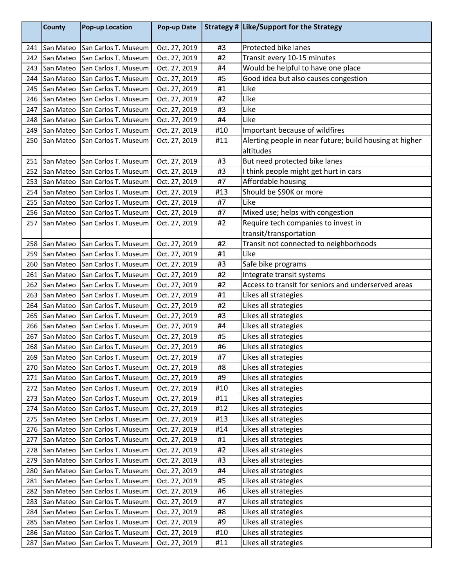|     | <b>County</b> | <b>Pop-up Location</b> | Pop-up Date   |     | Strategy # Like/Support for the Strategy                |
|-----|---------------|------------------------|---------------|-----|---------------------------------------------------------|
| 241 | San Mateo     | San Carlos T. Museum   | Oct. 27, 2019 | #3  | Protected bike lanes                                    |
| 242 | San Mateo     | San Carlos T. Museum   | Oct. 27, 2019 | #2  | Transit every 10-15 minutes                             |
| 243 | San Mateo     | San Carlos T. Museum   | Oct. 27, 2019 | #4  | Would be helpful to have one place                      |
| 244 | San Mateo     | San Carlos T. Museum   | Oct. 27, 2019 | #5  | Good idea but also causes congestion                    |
| 245 | San Mateo     | San Carlos T. Museum   | Oct. 27, 2019 | #1  | Like                                                    |
| 246 | San Mateo     | San Carlos T. Museum   | Oct. 27, 2019 | #2  | Like                                                    |
| 247 | San Mateo     | San Carlos T. Museum   | Oct. 27, 2019 | #3  | Like                                                    |
| 248 | San Mateo     | San Carlos T. Museum   | Oct. 27, 2019 | #4  | Like                                                    |
| 249 | San Mateo     | San Carlos T. Museum   | Oct. 27, 2019 | #10 | Important because of wildfires                          |
| 250 | San Mateo     | San Carlos T. Museum   | Oct. 27, 2019 | #11 | Alerting people in near future; build housing at higher |
|     |               |                        |               |     | altitudes                                               |
| 251 | San Mateo     | San Carlos T. Museum   | Oct. 27, 2019 | #3  | But need protected bike lanes                           |
| 252 | San Mateo     | San Carlos T. Museum   | Oct. 27, 2019 | #3  | I think people might get hurt in cars                   |
| 253 | San Mateo     | San Carlos T. Museum   | Oct. 27, 2019 | #7  | Affordable housing                                      |
| 254 | San Mateo     | San Carlos T. Museum   | Oct. 27, 2019 | #13 | Should be \$90K or more                                 |
| 255 | San Mateo     | San Carlos T. Museum   | Oct. 27, 2019 | #7  | Like                                                    |
| 256 | San Mateo     | San Carlos T. Museum   | Oct. 27, 2019 | #7  | Mixed use; helps with congestion                        |
| 257 | San Mateo     | San Carlos T. Museum   | Oct. 27, 2019 | #2  | Require tech companies to invest in                     |
|     |               |                        |               |     | transit/transportation                                  |
| 258 | San Mateo     | San Carlos T. Museum   | Oct. 27, 2019 | #2  | Transit not connected to neighborhoods                  |
| 259 | San Mateo     | San Carlos T. Museum   | Oct. 27, 2019 | #1  | Like                                                    |
| 260 | San Mateo     | San Carlos T. Museum   | Oct. 27, 2019 | #3  | Safe bike programs                                      |
| 261 | San Mateo     | San Carlos T. Museum   | Oct. 27, 2019 | #2  | Integrate transit systems                               |
| 262 | San Mateo     | San Carlos T. Museum   | Oct. 27, 2019 | #2  | Access to transit for seniors and underserved areas     |
| 263 | San Mateo     | San Carlos T. Museum   | Oct. 27, 2019 | #1  | Likes all strategies                                    |
| 264 | San Mateo     | San Carlos T. Museum   | Oct. 27, 2019 | #2  | Likes all strategies                                    |
| 265 | San Mateo     | San Carlos T. Museum   | Oct. 27, 2019 | #3  | Likes all strategies                                    |
| 266 | San Mateo     | San Carlos T. Museum   | Oct. 27, 2019 | #4  | Likes all strategies                                    |
| 267 | San Mateo     | San Carlos T. Museum   | Oct. 27, 2019 | #5  | Likes all strategies                                    |
| 268 | San Mateo     | San Carlos T. Museum   | Oct. 27, 2019 | #6  | Likes all strategies                                    |
| 269 | San Mateo     | San Carlos T. Museum   | Oct. 27, 2019 | #7  | Likes all strategies                                    |
| 270 | San Mateo     | San Carlos T. Museum   | Oct. 27, 2019 | #8  | Likes all strategies                                    |
| 271 | San Mateo     | San Carlos T. Museum   | Oct. 27, 2019 | #9  | Likes all strategies                                    |
| 272 | San Mateo     | San Carlos T. Museum   | Oct. 27, 2019 | #10 | Likes all strategies                                    |
| 273 | San Mateo     | San Carlos T. Museum   | Oct. 27, 2019 | #11 | Likes all strategies                                    |
| 274 | San Mateo     | San Carlos T. Museum   | Oct. 27, 2019 | #12 | Likes all strategies                                    |
| 275 | San Mateo     | San Carlos T. Museum   | Oct. 27, 2019 | #13 | Likes all strategies                                    |
| 276 | San Mateo     | San Carlos T. Museum   | Oct. 27, 2019 | #14 | Likes all strategies                                    |
| 277 | San Mateo     | San Carlos T. Museum   | Oct. 27, 2019 | #1  | Likes all strategies                                    |
| 278 | San Mateo     | San Carlos T. Museum   | Oct. 27, 2019 | #2  | Likes all strategies                                    |
| 279 | San Mateo     | San Carlos T. Museum   | Oct. 27, 2019 | #3  | Likes all strategies                                    |
| 280 | San Mateo     | San Carlos T. Museum   | Oct. 27, 2019 | #4  | Likes all strategies                                    |
| 281 | San Mateo     | San Carlos T. Museum   | Oct. 27, 2019 | #5  | Likes all strategies                                    |
| 282 | San Mateo     | San Carlos T. Museum   | Oct. 27, 2019 | #6  | Likes all strategies                                    |
| 283 | San Mateo     | San Carlos T. Museum   | Oct. 27, 2019 | #7  | Likes all strategies                                    |
| 284 | San Mateo     | San Carlos T. Museum   | Oct. 27, 2019 | #8  | Likes all strategies                                    |
| 285 | San Mateo     | San Carlos T. Museum   | Oct. 27, 2019 | #9  | Likes all strategies                                    |
| 286 | San Mateo     | San Carlos T. Museum   | Oct. 27, 2019 | #10 | Likes all strategies                                    |
| 287 | San Mateo     | San Carlos T. Museum   | Oct. 27, 2019 | #11 | Likes all strategies                                    |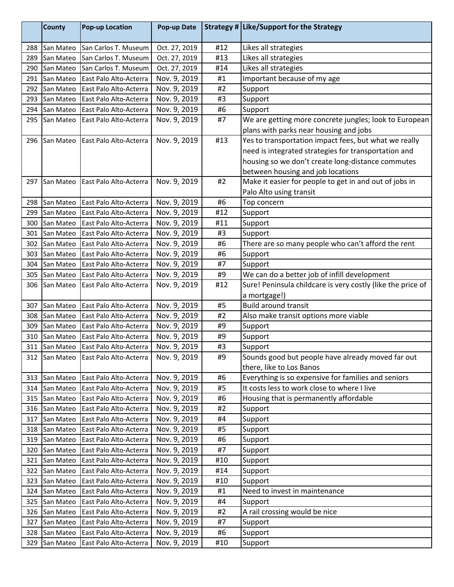|     | <b>County</b> | <b>Pop-up Location</b>               | Pop-up Date   |     | Strategy # Like/Support for the Strategy                    |
|-----|---------------|--------------------------------------|---------------|-----|-------------------------------------------------------------|
| 288 | San Mateo     | San Carlos T. Museum                 | Oct. 27, 2019 | #12 | Likes all strategies                                        |
| 289 | San Mateo     | San Carlos T. Museum                 | Oct. 27, 2019 | #13 | Likes all strategies                                        |
| 290 | San Mateo     | San Carlos T. Museum                 | Oct. 27, 2019 | #14 | Likes all strategies                                        |
| 291 | San Mateo     | East Palo Alto-Acterra               | Nov. 9, 2019  | #1  | Important because of my age                                 |
| 292 | San Mateo     | East Palo Alto-Acterra               | Nov. 9, 2019  | #2  | Support                                                     |
| 293 | San Mateo     | East Palo Alto-Acterra               | Nov. 9, 2019  | #3  | Support                                                     |
| 294 | San Mateo     | East Palo Alto-Acterra               | Nov. 9, 2019  | #6  | Support                                                     |
| 295 | San Mateo     | East Palo Alto-Acterra               | Nov. 9, 2019  | #7  | We are getting more concrete jungles; look to European      |
|     |               |                                      |               |     | plans with parks near housing and jobs                      |
| 296 | San Mateo     | East Palo Alto-Acterra               | Nov. 9, 2019  | #13 | Yes to transportation impact fees, but what we really       |
|     |               |                                      |               |     | need is integrated strategies for transportation and        |
|     |               |                                      |               |     | housing so we don't create long-distance commutes           |
|     |               |                                      |               |     | between housing and job locations                           |
| 297 | San Mateo     | East Palo Alto-Acterra               | Nov. 9, 2019  | #2  | Make it easier for people to get in and out of jobs in      |
|     |               |                                      |               |     | Palo Alto using transit                                     |
| 298 | San Mateo     | East Palo Alto-Acterra               | Nov. 9, 2019  | #6  | Top concern                                                 |
| 299 | San Mateo     | East Palo Alto-Acterra               | Nov. 9, 2019  | #12 | Support                                                     |
| 300 | San Mateo     | East Palo Alto-Acterra               | Nov. 9, 2019  | #11 | Support                                                     |
| 301 | San Mateo     | East Palo Alto-Acterra               | Nov. 9, 2019  | #3  | Support                                                     |
| 302 | San Mateo     | East Palo Alto-Acterra               | Nov. 9, 2019  | #6  | There are so many people who can't afford the rent          |
| 303 | San Mateo     | East Palo Alto-Acterra               | Nov. 9, 2019  | #6  | Support                                                     |
| 304 | San Mateo     | East Palo Alto-Acterra               | Nov. 9, 2019  | #7  | Support                                                     |
| 305 | San Mateo     | East Palo Alto-Acterra               | Nov. 9, 2019  | #9  | We can do a better job of infill development                |
| 306 | San Mateo     | East Palo Alto-Acterra               | Nov. 9, 2019  | #12 | Sure! Peninsula childcare is very costly (like the price of |
|     |               |                                      |               |     | a mortgage!)                                                |
| 307 | San Mateo     | East Palo Alto-Acterra               | Nov. 9, 2019  | #5  | <b>Build around transit</b>                                 |
| 308 | San Mateo     | East Palo Alto-Acterra               | Nov. 9, 2019  | #2  | Also make transit options more viable                       |
| 309 | San Mateo     | East Palo Alto-Acterra               | Nov. 9, 2019  | #9  | Support                                                     |
| 310 | San Mateo     | East Palo Alto-Acterra               | Nov. 9, 2019  | #9  | Support                                                     |
| 311 | San Mateo     | East Palo Alto-Acterra               | Nov. 9, 2019  | #3  | Support                                                     |
|     |               | 312 San Mateo East Palo Alto-Acterra | Nov. 9, 2019  | #9  | Sounds good but people have already moved far out           |
|     |               |                                      |               |     | there, like to Los Banos                                    |
| 313 | San Mateo     | East Palo Alto-Acterra               | Nov. 9, 2019  | #6  | Everything is so expensive for families and seniors         |
| 314 | San Mateo     | East Palo Alto-Acterra               | Nov. 9, 2019  | #5  | It costs less to work close to where I live                 |
| 315 | San Mateo     | East Palo Alto-Acterra               | Nov. 9, 2019  | #6  | Housing that is permanently affordable                      |
| 316 | San Mateo     | East Palo Alto-Acterra               | Nov. 9, 2019  | #2  | Support                                                     |
| 317 | San Mateo     | East Palo Alto-Acterra               | Nov. 9, 2019  | #4  | Support                                                     |
| 318 | San Mateo     | East Palo Alto-Acterra               | Nov. 9, 2019  | #5  | Support                                                     |
| 319 | San Mateo     | East Palo Alto-Acterra               | Nov. 9, 2019  | #6  | Support                                                     |
| 320 | San Mateo     | East Palo Alto-Acterra               | Nov. 9, 2019  | #7  | Support                                                     |
| 321 | San Mateo     | East Palo Alto-Acterra               | Nov. 9, 2019  | #10 | Support                                                     |
| 322 | San Mateo     | East Palo Alto-Acterra               | Nov. 9, 2019  | #14 | Support                                                     |
| 323 | San Mateo     | East Palo Alto-Acterra               | Nov. 9, 2019  | #10 | Support                                                     |
| 324 | San Mateo     | East Palo Alto-Acterra               | Nov. 9, 2019  | #1  | Need to invest in maintenance                               |
| 325 | San Mateo     | East Palo Alto-Acterra               | Nov. 9, 2019  | #4  | Support                                                     |
| 326 | San Mateo     | East Palo Alto-Acterra               | Nov. 9, 2019  | #2  | A rail crossing would be nice                               |
| 327 | San Mateo     | East Palo Alto-Acterra               | Nov. 9, 2019  | #7  | Support                                                     |
| 328 | San Mateo     | East Palo Alto-Acterra               | Nov. 9, 2019  | #6  | Support                                                     |
| 329 | San Mateo     | East Palo Alto-Acterra               | Nov. 9, 2019  | #10 | Support                                                     |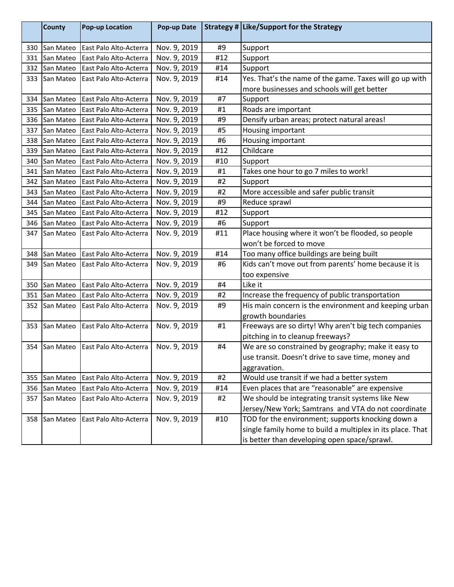|     | County        | <b>Pop-up Location</b> | Pop-up Date  |     | Strategy # Like/Support for the Strategy                   |
|-----|---------------|------------------------|--------------|-----|------------------------------------------------------------|
| 330 | San Mateo     | East Palo Alto-Acterra | Nov. 9, 2019 | #9  | Support                                                    |
| 331 | San Mateo     | East Palo Alto-Acterra | Nov. 9, 2019 | #12 | Support                                                    |
| 332 | San Mateo     | East Palo Alto-Acterra | Nov. 9, 2019 | #14 | Support                                                    |
| 333 | San Mateo     | East Palo Alto-Acterra | Nov. 9, 2019 | #14 | Yes. That's the name of the game. Taxes will go up with    |
|     |               |                        |              |     | more businesses and schools will get better                |
| 334 | San Mateo     | East Palo Alto-Acterra | Nov. 9, 2019 | #7  | Support                                                    |
| 335 | San Mateo     | East Palo Alto-Acterra | Nov. 9, 2019 | #1  | Roads are important                                        |
| 336 | San Mateo     | East Palo Alto-Acterra | Nov. 9, 2019 | #9  | Densify urban areas; protect natural areas!                |
| 337 | San Mateo     | East Palo Alto-Acterra | Nov. 9, 2019 | #5  | Housing important                                          |
| 338 | San Mateo     | East Palo Alto-Acterra | Nov. 9, 2019 | #6  | Housing important                                          |
| 339 | San Mateo     | East Palo Alto-Acterra | Nov. 9, 2019 | #12 | Childcare                                                  |
| 340 | San Mateo     | East Palo Alto-Acterra | Nov. 9, 2019 | #10 | Support                                                    |
| 341 | San Mateo     | East Palo Alto-Acterra | Nov. 9, 2019 | #1  | Takes one hour to go 7 miles to work!                      |
| 342 | San Mateo     | East Palo Alto-Acterra | Nov. 9, 2019 | #2  | Support                                                    |
| 343 | San Mateo     | East Palo Alto-Acterra | Nov. 9, 2019 | #2  | More accessible and safer public transit                   |
| 344 | San Mateo     | East Palo Alto-Acterra | Nov. 9, 2019 | #9  | Reduce sprawl                                              |
| 345 | San Mateo     | East Palo Alto-Acterra | Nov. 9, 2019 | #12 | Support                                                    |
| 346 | San Mateo     | East Palo Alto-Acterra | Nov. 9, 2019 | #6  | Support                                                    |
| 347 | San Mateo     | East Palo Alto-Acterra | Nov. 9, 2019 | #11 | Place housing where it won't be flooded, so people         |
|     |               |                        |              |     | won't be forced to move                                    |
| 348 | San Mateo     | East Palo Alto-Acterra | Nov. 9, 2019 | #14 | Too many office buildings are being built                  |
| 349 | San Mateo     | East Palo Alto-Acterra | Nov. 9, 2019 | #6  | Kids can't move out from parents' home because it is       |
|     |               |                        |              |     | too expensive                                              |
| 350 | San Mateo     | East Palo Alto-Acterra | Nov. 9, 2019 | #4  | Like it                                                    |
| 351 | San Mateo     | East Palo Alto-Acterra | Nov. 9, 2019 | #2  | Increase the frequency of public transportation            |
| 352 | San Mateo     | East Palo Alto-Acterra | Nov. 9, 2019 | #9  | His main concern is the environment and keeping urban      |
|     |               |                        |              |     | growth boundaries                                          |
| 353 | San Mateo     | East Palo Alto-Acterra | Nov. 9, 2019 | #1  | Freeways are so dirty! Why aren't big tech companies       |
|     |               |                        |              |     | pitching in to cleanup freeways?                           |
|     | 354 San Mateo | East Palo Alto-Acterra | Nov. 9, 2019 | #4  | We are so constrained by geography; make it easy to        |
|     |               |                        |              |     | use transit. Doesn't drive to save time, money and         |
|     |               |                        |              |     | aggravation.                                               |
| 355 | San Mateo     | East Palo Alto-Acterra | Nov. 9, 2019 | #2  | Would use transit if we had a better system                |
| 356 | San Mateo     | East Palo Alto-Acterra | Nov. 9, 2019 | #14 | Even places that are "reasonable" are expensive            |
| 357 | San Mateo     | East Palo Alto-Acterra | Nov. 9, 2019 | #2  | We should be integrating transit systems like New          |
|     |               |                        |              |     | Jersey/New York; Samtrans and VTA do not coordinate        |
| 358 | San Mateo     | East Palo Alto-Acterra | Nov. 9, 2019 | #10 | TOD for the environment; supports knocking down a          |
|     |               |                        |              |     | single family home to build a multiplex in its place. That |
|     |               |                        |              |     | is better than developing open space/sprawl.               |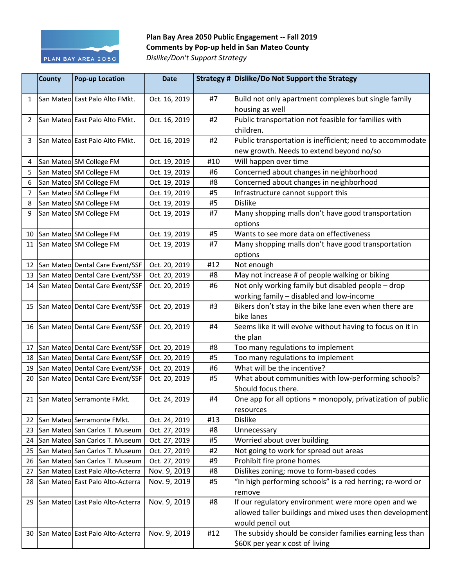

## Plan Bay Area 2050 Public Engagement -- Fall 2019 **Comments by Pop-up held in San Mateo County** *Dislike/Don't Support Strategy*

|                | <b>County</b> | <b>Pop-up Location</b>              | <b>Date</b>   |     | Strategy # Dislike/Do Not Support the Strategy                                                                                      |
|----------------|---------------|-------------------------------------|---------------|-----|-------------------------------------------------------------------------------------------------------------------------------------|
| 1              |               | San Mateo East Palo Alto FMkt.      | Oct. 16, 2019 | #7  | Build not only apartment complexes but single family<br>housing as well                                                             |
| $\overline{2}$ |               | San Mateo East Palo Alto FMkt.      | Oct. 16, 2019 | #2  | Public transportation not feasible for families with<br>children.                                                                   |
| 3              |               | San Mateo East Palo Alto FMkt.      | Oct. 16, 2019 | #2  | Public transportation is inefficient; need to accommodate<br>new growth. Needs to extend beyond no/so                               |
| 4              |               | San Mateo SM College FM             | Oct. 19, 2019 | #10 | Will happen over time                                                                                                               |
| 5              |               | San Mateo SM College FM             | Oct. 19, 2019 | #6  | Concerned about changes in neighborhood                                                                                             |
| 6              |               | San Mateo SM College FM             | Oct. 19, 2019 | #8  | Concerned about changes in neighborhood                                                                                             |
| 7              |               | San Mateo SM College FM             | Oct. 19, 2019 | #5  | Infrastructure cannot support this                                                                                                  |
| 8              |               | San Mateo SM College FM             | Oct. 19, 2019 | #5  | <b>Dislike</b>                                                                                                                      |
| 9              |               | San Mateo SM College FM             | Oct. 19, 2019 | #7  | Many shopping malls don't have good transportation<br>options                                                                       |
|                |               | 10 San Mateo SM College FM          | Oct. 19, 2019 | #5  | Wants to see more data on effectiveness                                                                                             |
|                |               | 11 San Mateo SM College FM          | Oct. 19, 2019 | #7  | Many shopping malls don't have good transportation<br>options                                                                       |
| 12             |               | San Mateo Dental Care Event/SSF     | Oct. 20, 2019 | #12 | Not enough                                                                                                                          |
|                |               | 13 San Mateo Dental Care Event/SSF  | Oct. 20, 2019 | #8  | May not increase # of people walking or biking                                                                                      |
|                |               | 14 San Mateo Dental Care Event/SSF  | Oct. 20, 2019 | #6  | Not only working family but disabled people - drop<br>working family - disabled and low-income                                      |
|                |               | 15 San Mateo Dental Care Event/SSF  | Oct. 20, 2019 | #3  | Bikers don't stay in the bike lane even when there are<br>bike lanes                                                                |
|                |               | 16 San Mateo Dental Care Event/SSF  | Oct. 20, 2019 | #4  | Seems like it will evolve without having to focus on it in<br>the plan                                                              |
| 17             |               | San Mateo Dental Care Event/SSF     | Oct. 20, 2019 | #8  | Too many regulations to implement                                                                                                   |
|                |               | 18 San Mateo Dental Care Event/SSF  | Oct. 20, 2019 | #5  | Too many regulations to implement                                                                                                   |
|                |               | 19 San Mateo Dental Care Event/SSF  | Oct. 20, 2019 | #6  | What will be the incentive?                                                                                                         |
|                |               | 20 San Mateo Dental Care Event/SSF  | Oct. 20, 2019 | #5  | What about communities with low-performing schools?<br>Should focus there.                                                          |
|                |               | 21 San Mateo Serramonte FMkt.       | Oct. 24, 2019 | #4  | One app for all options = monopoly, privatization of public<br>resources                                                            |
| 22             |               | San Mateo Serramonte FMkt.          | Oct. 24, 2019 | #13 | <b>Dislike</b>                                                                                                                      |
| 23             |               | San Mateo San Carlos T. Museum      | Oct. 27, 2019 | #8  | Unnecessary                                                                                                                         |
| 24             |               | San Mateo San Carlos T. Museum      | Oct. 27, 2019 | #5  | Worried about over building                                                                                                         |
| 25             |               | San Mateo San Carlos T. Museum      | Oct. 27, 2019 | #2  | Not going to work for spread out areas                                                                                              |
| 26             |               | San Mateo San Carlos T. Museum      | Oct. 27, 2019 | #9  | Prohibit fire prone homes                                                                                                           |
| 27             |               | San Mateo East Palo Alto-Acterra    | Nov. 9, 2019  | #8  | Dislikes zoning; move to form-based codes                                                                                           |
|                |               | 28 San Mateo East Palo Alto-Acterra | Nov. 9, 2019  | #5  | "In high performing schools" is a red herring; re-word or<br>remove                                                                 |
|                |               | 29 San Mateo East Palo Alto-Acterra | Nov. 9, 2019  | #8  | If our regulatory environment were more open and we<br>allowed taller buildings and mixed uses then development<br>would pencil out |
|                |               | 30 San Mateo East Palo Alto-Acterra | Nov. 9, 2019  | #12 | The subsidy should be consider families earning less than<br>\$60K per year x cost of living                                        |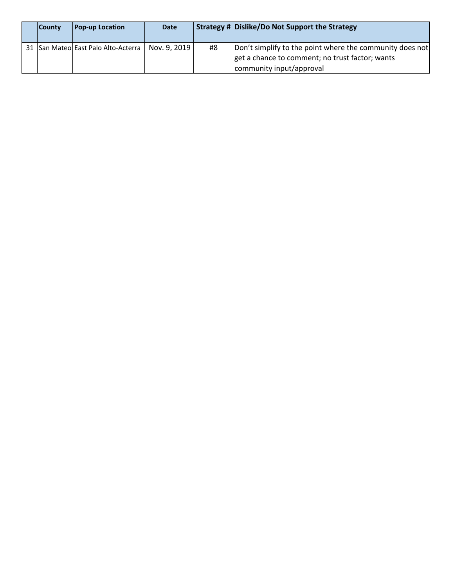| <b>County</b> | <b>Pop-up Location</b>              | <b>Date</b>  |    | Strategy # Dislike/Do Not Support the Strategy                                                                                          |
|---------------|-------------------------------------|--------------|----|-----------------------------------------------------------------------------------------------------------------------------------------|
|               | 31 San Mateo East Palo Alto-Acterra | Nov. 9, 2019 | #8 | Don't simplify to the point where the community does not<br>get a chance to comment; no trust factor; wants<br>community input/approval |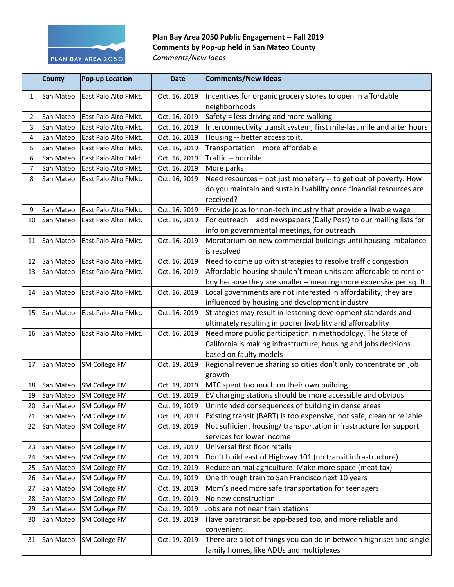

## Plan Bay Area 2050 Public Engagement -- Fall 2019 **Comments by Pop-up held in San Mateo County** *Comments/New Ideas*

|    | <b>County</b> | <b>Pop-up Location</b> | <b>Date</b>   | <b>Comments/New Ideas</b>                                                          |
|----|---------------|------------------------|---------------|------------------------------------------------------------------------------------|
| 1  | San Mateo     | East Palo Alto FMkt.   | Oct. 16, 2019 | Incentives for organic grocery stores to open in affordable                        |
|    |               |                        |               | neighborhoods                                                                      |
| 2  | San Mateo     | East Palo Alto FMkt.   | Oct. 16, 2019 | Safety = less driving and more walking                                             |
| 3  | San Mateo     | East Palo Alto FMkt.   | Oct. 16, 2019 | Interconnectivity transit system; first mile-last mile and after hours             |
| 4  | San Mateo     | East Palo Alto FMkt.   | Oct. 16, 2019 | Housing -- better access to it.                                                    |
| 5  | San Mateo     | East Palo Alto FMkt.   | Oct. 16, 2019 | Transportation - more affordable                                                   |
| 6  | San Mateo     | East Palo Alto FMkt.   | Oct. 16, 2019 | Traffic -- horrible                                                                |
| 7  | San Mateo     | East Palo Alto FMkt.   | Oct. 16, 2019 | More parks                                                                         |
| 8  | San Mateo     | East Palo Alto FMkt.   | Oct. 16, 2019 | Need resources - not just monetary -- to get out of poverty. How                   |
|    |               |                        |               | do you maintain and sustain livability once financial resources are                |
|    |               |                        |               | received?                                                                          |
| 9  | San Mateo     | East Palo Alto FMkt.   | Oct. 16, 2019 | Provide jobs for non-tech industry that provide a livable wage                     |
| 10 | San Mateo     | East Palo Alto FMkt.   | Oct. 16, 2019 | For outreach - add newspapers (Daily Post) to our mailing lists for                |
|    |               |                        |               | info on governmental meetings, for outreach                                        |
| 11 | San Mateo     | East Palo Alto FMkt.   | Oct. 16, 2019 | Moratorium on new commercial buildings until housing imbalance                     |
|    |               |                        |               | is resolved                                                                        |
| 12 | San Mateo     | East Palo Alto FMkt.   | Oct. 16, 2019 | Need to come up with strategies to resolve traffic congestion                      |
| 13 | San Mateo     | East Palo Alto FMkt.   | Oct. 16, 2019 | Affordable housing shouldn't mean units are affordable to rent or                  |
|    |               |                        |               | buy because they are smaller - meaning more expensive per sq. ft.                  |
| 14 | San Mateo     | East Palo Alto FMkt.   | Oct. 16, 2019 | Local governments are not interested in affordability; they are                    |
|    |               |                        |               | influenced by housing and development industry                                     |
| 15 | San Mateo     | East Palo Alto FMkt.   | Oct. 16, 2019 | Strategies may result in lessening development standards and                       |
|    |               |                        |               | ultimately resulting in poorer livability and affordability                        |
| 16 | San Mateo     | East Palo Alto FMkt.   | Oct. 16, 2019 | Need more public participation in methodology. The State of                        |
|    |               |                        |               | California is making infrastructure, housing and jobs decisions                    |
|    |               |                        |               | based on faulty models                                                             |
| 17 | San Mateo     | SM College FM          | Oct. 19, 2019 | Regional revenue sharing so cities don't only concentrate on job                   |
|    |               |                        |               | growth                                                                             |
| 18 | San Mateo     | SM College FM          | Oct. 19, 2019 | MTC spent too much on their own building                                           |
| 19 | San Mateo     | SM College FM          | Oct. 19, 2019 | EV charging stations should be more accessible and obvious                         |
| 20 | San Mateo     | SM College FM          | Oct. 19, 2019 | Unintended consequences of building in dense areas                                 |
| 21 | San Mateo     | SM College FM          | Oct. 19, 2019 | Existing transit (BART) is too expensive; not safe, clean or reliable              |
| 22 | San Mateo     | SM College FM          | Oct. 19, 2019 | Not sufficient housing/ transportation infrastructure for support                  |
|    |               |                        |               | services for lower income                                                          |
| 23 | San Mateo     | SM College FM          | Oct. 19, 2019 | Universal first floor retails                                                      |
| 24 | San Mateo     | SM College FM          | Oct. 19, 2019 | Don't build east of Highway 101 (no transit infrastructure)                        |
| 25 | San Mateo     | <b>SM College FM</b>   | Oct. 19, 2019 | Reduce animal agriculture! Make more space (meat tax)                              |
| 26 | San Mateo     | <b>SM College FM</b>   | Oct. 19, 2019 | One through train to San Francisco next 10 years                                   |
| 27 | San Mateo     | SM College FM          | Oct. 19, 2019 | Mom's need more safe transportation for teenagers                                  |
| 28 | San Mateo     | SM College FM          | Oct. 19, 2019 | No new construction                                                                |
| 29 | San Mateo     | SM College FM          | Oct. 19, 2019 | Jobs are not near train stations                                                   |
| 30 | San Mateo     | <b>SM College FM</b>   | Oct. 19, 2019 | Have paratransit be app-based too, and more reliable and                           |
|    |               |                        |               | convenient<br>There are a lot of things you can do in between highrises and single |
| 31 | San Mateo     | SM College FM          | Oct. 19, 2019 |                                                                                    |
|    |               |                        |               | family homes, like ADUs and multiplexes                                            |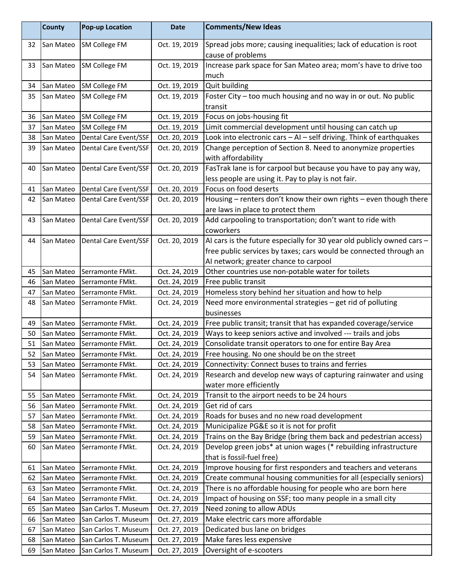|    | <b>County</b> | <b>Pop-up Location</b> | <b>Date</b>   | <b>Comments/New Ideas</b>                                                |
|----|---------------|------------------------|---------------|--------------------------------------------------------------------------|
| 32 | San Mateo     | SM College FM          | Oct. 19, 2019 | Spread jobs more; causing inequalities; lack of education is root        |
|    |               |                        |               | cause of problems                                                        |
| 33 | San Mateo     | SM College FM          | Oct. 19, 2019 | Increase park space for San Mateo area; mom's have to drive too          |
|    |               |                        |               | much                                                                     |
| 34 | San Mateo     | SM College FM          | Oct. 19, 2019 | Quit building                                                            |
| 35 | San Mateo     | <b>SM College FM</b>   | Oct. 19, 2019 | Foster City - too much housing and no way in or out. No public           |
|    |               |                        |               | transit                                                                  |
| 36 | San Mateo     | SM College FM          | Oct. 19, 2019 | Focus on jobs-housing fit                                                |
| 37 | San Mateo     | <b>SM College FM</b>   | Oct. 19, 2019 | Limit commercial development until housing can catch up                  |
| 38 | San Mateo     | Dental Care Event/SSF  | Oct. 20, 2019 | Look into electronic cars - AI - self driving. Think of earthquakes      |
| 39 | San Mateo     | Dental Care Event/SSF  | Oct. 20, 2019 | Change perception of Section 8. Need to anonymize properties             |
|    |               |                        |               | with affordability                                                       |
| 40 | San Mateo     | Dental Care Event/SSF  | Oct. 20, 2019 | FasTrak lane is for carpool but because you have to pay any way,         |
|    |               |                        |               | less people are using it. Pay to play is not fair.                       |
| 41 | San Mateo     | Dental Care Event/SSF  | Oct. 20, 2019 | Focus on food deserts                                                    |
| 42 | San Mateo     | Dental Care Event/SSF  | Oct. 20, 2019 | Housing - renters don't know their own rights - even though there        |
|    |               |                        |               | are laws in place to protect them                                        |
| 43 | San Mateo     | Dental Care Event/SSF  | Oct. 20, 2019 | Add carpooling to transportation; don't want to ride with                |
|    |               |                        |               | coworkers                                                                |
| 44 | San Mateo     | Dental Care Event/SSF  | Oct. 20, 2019 | AI cars is the future especially for 30 year old publicly owned cars $-$ |
|    |               |                        |               | free public services by taxes; cars would be connected through an        |
|    |               |                        |               | AI network; greater chance to carpool                                    |
| 45 | San Mateo     | Serramonte FMkt.       | Oct. 24, 2019 | Other countries use non-potable water for toilets                        |
| 46 | San Mateo     | Serramonte FMkt.       | Oct. 24, 2019 | Free public transit                                                      |
| 47 | San Mateo     | Serramonte FMkt.       | Oct. 24, 2019 | Homeless story behind her situation and how to help                      |
| 48 | San Mateo     | Serramonte FMkt.       | Oct. 24, 2019 | Need more environmental strategies - get rid of polluting<br>businesses  |
| 49 | San Mateo     | Serramonte FMkt.       | Oct. 24, 2019 | Free public transit; transit that has expanded coverage/service          |
| 50 | San Mateo     | Serramonte FMkt.       | Oct. 24, 2019 | Ways to keep seniors active and involved --- trails and jobs             |
| 51 | San Mateo     | Serramonte FMkt.       | Oct. 24, 2019 | Consolidate transit operators to one for entire Bay Area                 |
| 52 | San Mateo     | Serramonte FMkt.       | Oct. 24, 2019 | Free housing. No one should be on the street                             |
| 53 | San Mateo     | Serramonte FMkt.       | Oct. 24, 2019 | Connectivity: Connect buses to trains and ferries                        |
| 54 | San Mateo     | Serramonte FMkt.       | Oct. 24, 2019 | Research and develop new ways of capturing rainwater and using           |
|    |               |                        |               | water more efficiently                                                   |
| 55 | San Mateo     | Serramonte FMkt.       | Oct. 24, 2019 | Transit to the airport needs to be 24 hours                              |
| 56 | San Mateo     | Serramonte FMkt.       | Oct. 24, 2019 | Get rid of cars                                                          |
| 57 | San Mateo     | Serramonte FMkt.       | Oct. 24, 2019 | Roads for buses and no new road development                              |
| 58 | San Mateo     | Serramonte FMkt.       | Oct. 24, 2019 | Municipalize PG&E so it is not for profit                                |
| 59 | San Mateo     | Serramonte FMkt.       | Oct. 24, 2019 | Trains on the Bay Bridge (bring them back and pedestrian access)         |
| 60 | San Mateo     | Serramonte FMkt.       | Oct. 24, 2019 | Develop green jobs* at union wages (* rebuilding infrastructure          |
|    |               |                        |               | that is fossil-fuel free)                                                |
| 61 | San Mateo     | Serramonte FMkt.       | Oct. 24, 2019 | Improve housing for first responders and teachers and veterans           |
| 62 | San Mateo     | Serramonte FMkt.       | Oct. 24, 2019 | Create communal housing communities for all (especially seniors)         |
| 63 | San Mateo     | Serramonte FMkt.       | Oct. 24, 2019 | There is no affordable housing for people who are born here              |
| 64 | San Mateo     | Serramonte FMkt.       | Oct. 24, 2019 | Impact of housing on SSF; too many people in a small city                |
| 65 | San Mateo     | San Carlos T. Museum   | Oct. 27, 2019 | Need zoning to allow ADUs                                                |
| 66 | San Mateo     | San Carlos T. Museum   | Oct. 27, 2019 | Make electric cars more affordable                                       |
| 67 | San Mateo     | San Carlos T. Museum   | Oct. 27, 2019 | Dedicated bus lane on bridges                                            |
| 68 | San Mateo     | San Carlos T. Museum   | Oct. 27, 2019 | Make fares less expensive                                                |
| 69 | San Mateo     | San Carlos T. Museum   | Oct. 27, 2019 | Oversight of e-scooters                                                  |